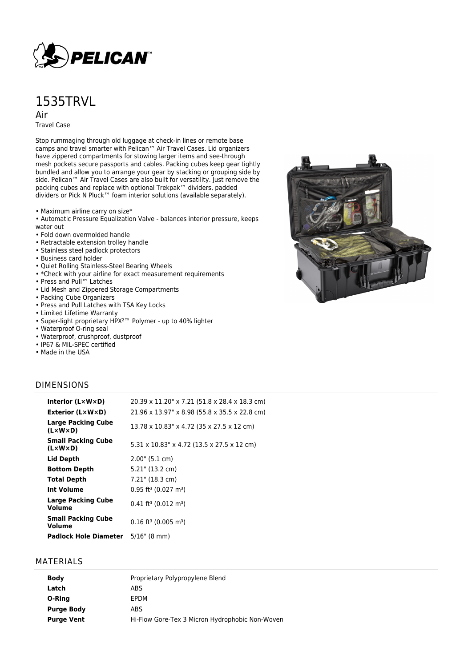

## 1535TRVL

Air

Travel Case

Stop rummaging through old luggage at check-in lines or remote base camps and travel smarter with Pelican™ Air Travel Cases. Lid organizers have zippered compartments for stowing larger items and see-through mesh pockets secure passports and cables. Packing cubes keep gear tightly bundled and allow you to arrange your gear by stacking or grouping side by side. Pelican™ Air Travel Cases are also built for versatility. Just remove the packing cubes and replace with optional Trekpak™ dividers, padded dividers or Pick N Pluck™ foam interior solutions (available separately).

- Maximum airline carry on size\*
- Automatic Pressure Equalization Valve balances interior pressure, keeps water out
- Fold down overmolded handle
- Retractable extension trolley handle
- Stainless steel padlock protectors
- Business card holder
- Quiet Rolling Stainless-Steel Bearing Wheels
- \*Check with your airline for exact measurement requirements
- Press and Pull™ Latches
- Lid Mesh and Zippered Storage Compartments
- Packing Cube Organizers
- Press and Pull Latches with TSA Key Locks
- Limited Lifetime Warranty
- Super-light proprietary HPX²™ Polymer up to 40% lighter
- Waterproof O-ring seal
- Waterproof, crushproof, dustproof
- IP67 & MIL-SPEC certified
- Made in the USA



## DIMENSIONS

| Interior (LxWxD)                                     | 20.39 x 11.20" x 7.21 (51.8 x 28.4 x 18.3 cm)  |
|------------------------------------------------------|------------------------------------------------|
| Exterior (L×W×D)                                     | 21.96 x 13.97" x 8.98 (55.8 x 35.5 x 22.8 cm)  |
| Large Packing Cube<br>$(L \times W \times D)$        | 13.78 x 10.83" x 4.72 (35 x 27.5 x 12 cm)      |
| <b>Small Packing Cube</b><br>$(L \times W \times D)$ | 5.31 x 10.83" x 4.72 (13.5 x 27.5 x 12 cm)     |
| Lid Depth                                            | 2.00" (5.1 cm)                                 |
| <b>Bottom Depth</b>                                  | 5.21" (13.2 cm)                                |
| <b>Total Depth</b>                                   | $7.21$ " (18.3 cm)                             |
| Int Volume                                           | $0.95$ ft <sup>3</sup> (0.027 m <sup>3</sup> ) |
| <b>Large Packing Cube</b><br>Volume                  | $0.41$ ft <sup>3</sup> (0.012 m <sup>3</sup> ) |
| <b>Small Packing Cube</b><br>Volume                  | $0.16$ ft <sup>3</sup> (0.005 m <sup>3</sup> ) |
| <b>Padlock Hole Diameter</b> 5/16" (8 mm)            |                                                |

## MATERIALS

| Proprietary Polypropylene Blend                 |  |  |
|-------------------------------------------------|--|--|
| ABS                                             |  |  |
| EPDM                                            |  |  |
| ABS.                                            |  |  |
| Hi-Flow Gore-Tex 3 Micron Hydrophobic Non-Woven |  |  |
|                                                 |  |  |